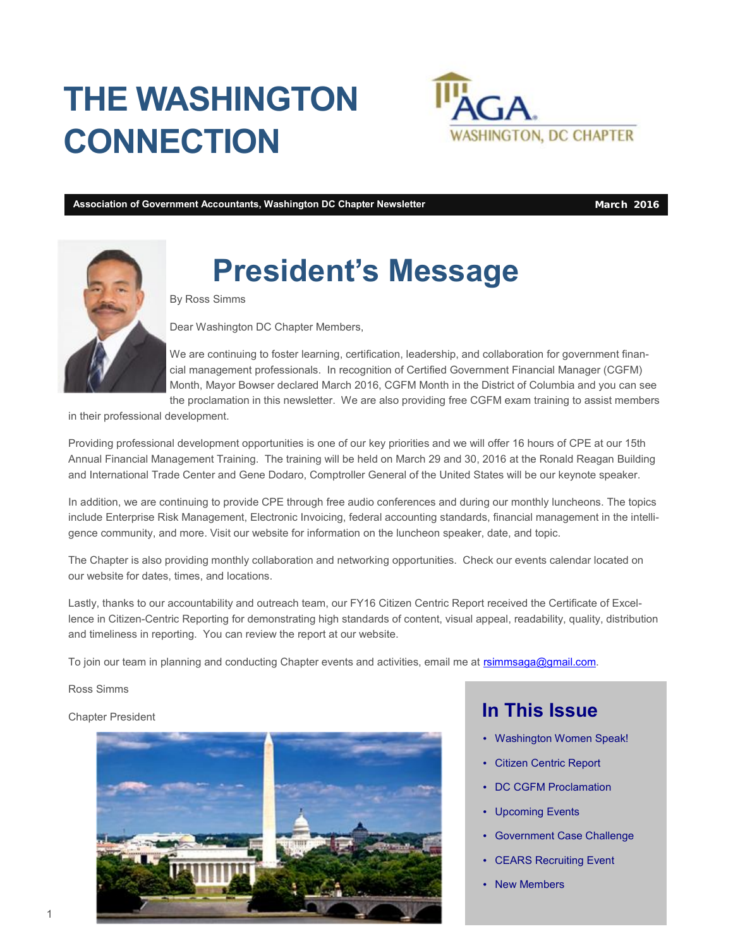## **THE WASHINGTON CONNECTION**



**Association of Government Accountants, Washington DC Chapter Newsletter March 2016** 



## **President's Message**

By Ross Simms

Dear Washington DC Chapter Members,

We are continuing to foster learning, certification, leadership, and collaboration for government financial management professionals. In recognition of Certified Government Financial Manager (CGFM) Month, Mayor Bowser declared March 2016, CGFM Month in the District of Columbia and you can see the proclamation in this newsletter. We are also providing free CGFM exam training to assist members

in their professional development.

Providing professional development opportunities is one of our key priorities and we will offer 16 hours of CPE at our 15th Annual Financial Management Training. The training will be held on March 29 and 30, 2016 at the Ronald Reagan Building and International Trade Center and Gene Dodaro, Comptroller General of the United States will be our keynote speaker.

In addition, we are continuing to provide CPE through free audio conferences and during our monthly luncheons. The topics include Enterprise Risk Management, Electronic Invoicing, federal accounting standards, financial management in the intelligence community, and more. Visit our website for information on the luncheon speaker, date, and topic.

The Chapter is also providing monthly collaboration and networking opportunities. Check our events calendar located on our website for dates, times, and locations.

Lastly, thanks to our accountability and outreach team, our FY16 Citizen Centric Report received the Certificate of Excellence in Citizen-Centric Reporting for demonstrating high standards of content, visual appeal, readability, quality, distribution and timeliness in reporting. You can review the report at our website.

To join our team in planning and conducting Chapter events and activities, email me at [rsimmsaga@gmail.com](mailto:rsimmsaga@gmail.com).

Ross Simms

#### Chapter President



#### **In This Issue**

- Washington Women Speak!
- Citizen Centric Report
- DC CGFM Proclamation
- Upcoming Events
- Government Case Challenge
- **CEARS Recruiting Event**
- **New Members**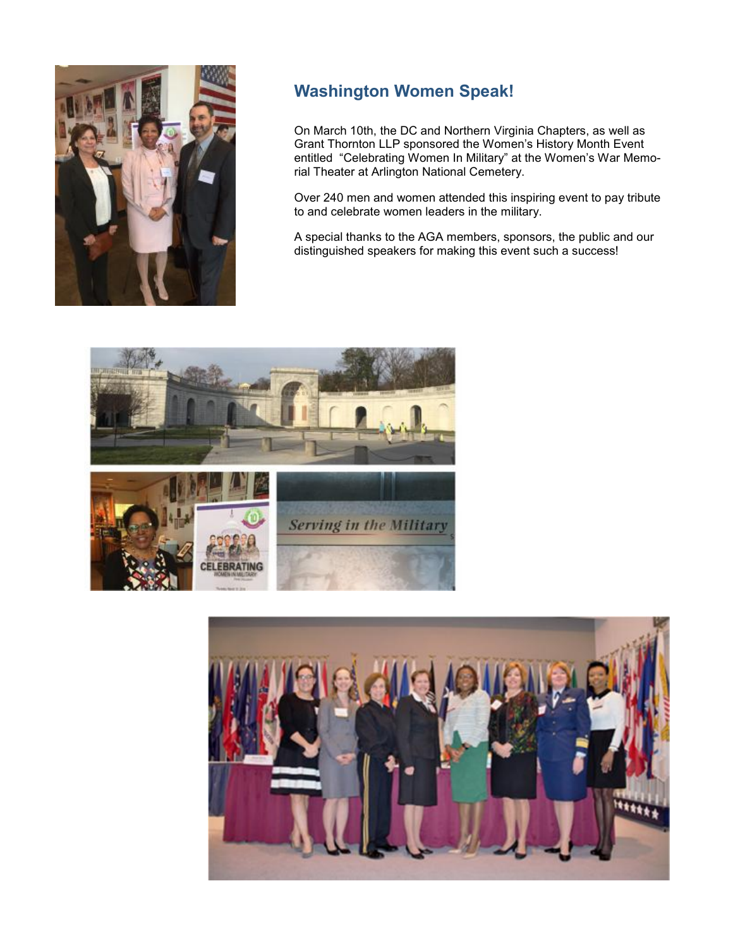

#### **Washington Women Speak!**

On March 10th, the DC and Northern Virginia Chapters, as well as Grant Thornton LLP sponsored the Women's History Month Event entitled "Celebrating Women In Military" at the Women's War Memorial Theater at Arlington National Cemetery.

Over 240 men and women attended this inspiring event to pay tribute to and celebrate women leaders in the military.

A special thanks to the AGA members, sponsors, the public and our distinguished speakers for making this event such a success!



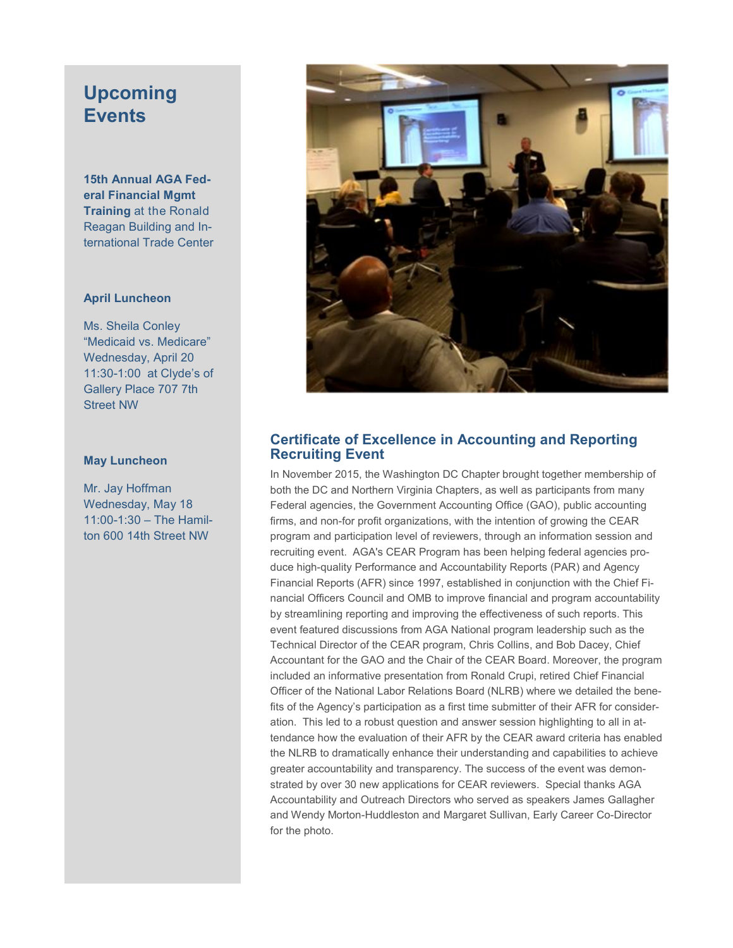#### **Upcoming Events**

**15th Annual AGA Federal Financial Mgmt Training** at the Ronald Reagan Building and International Trade Center

#### **April Luncheon**

Ms. Sheila Conley "Medicaid vs. Medicare" Wednesday, April 20 11:30-1:00 at Clyde's of Gallery Place 707 7th Street NW

#### **May Luncheon**

Mr. Jay Hoffman Wednesday, May 18 11:00-1:30 – The Hamilton 600 14th Street NW



#### **Certificate of Excellence in Accounting and Reporting Recruiting Event**

In November 2015, the Washington DC Chapter brought together membership of both the DC and Northern Virginia Chapters, as well as participants from many Federal agencies, the Government Accounting Office (GAO), public accounting firms, and non-for profit organizations, with the intention of growing the CEAR program and participation level of reviewers, through an information session and recruiting event. AGA's CEAR Program has been helping federal agencies produce high-quality Performance and Accountability Reports (PAR) and Agency Financial Reports (AFR) since 1997, established in conjunction with the Chief Financial Officers Council and OMB to improve financial and program accountability by streamlining reporting and improving the effectiveness of such reports. This event featured discussions from AGA National program leadership such as the Technical Director of the CEAR program, Chris Collins, and Bob Dacey, Chief Accountant for the GAO and the Chair of the CEAR Board. Moreover, the program included an informative presentation from Ronald Crupi, retired Chief Financial Officer of the National Labor Relations Board (NLRB) where we detailed the benefits of the Agency's participation as a first time submitter of their AFR for consideration. This led to a robust question and answer session highlighting to all in attendance how the evaluation of their AFR by the CEAR award criteria has enabled the NLRB to dramatically enhance their understanding and capabilities to achieve greater accountability and transparency. The success of the event was demonstrated by over 30 new applications for CEAR reviewers. Special thanks AGA Accountability and Outreach Directors who served as speakers James Gallagher and Wendy Morton-Huddleston and Margaret Sullivan, Early Career Co-Director for the photo.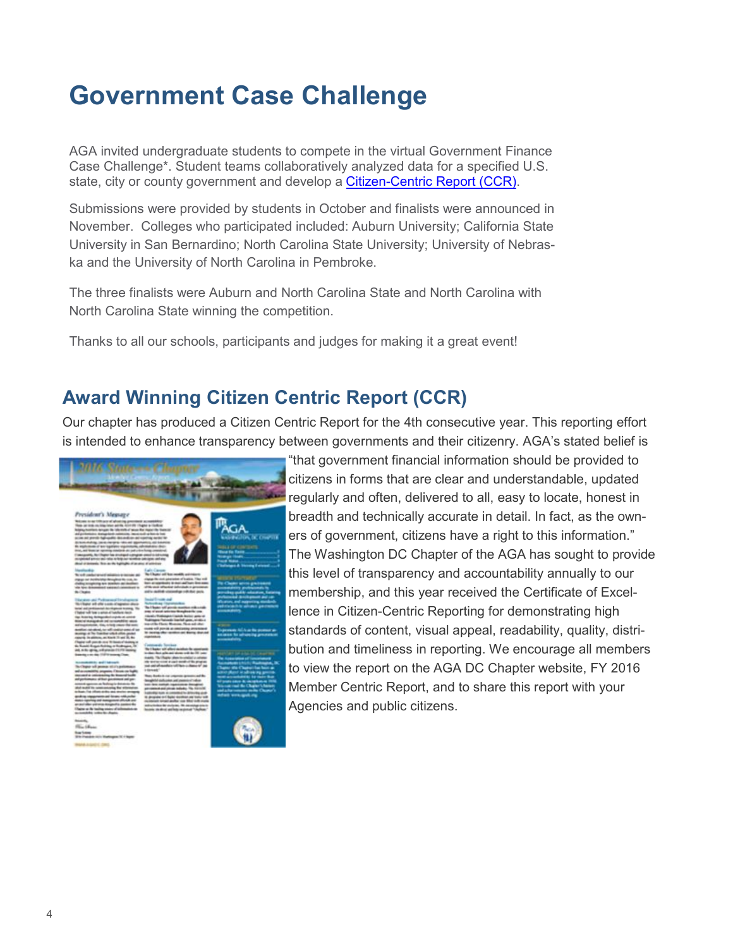#### **Government Case Challenge**

AGA invited undergraduate students to compete in the virtual Government Finance Case Challenge\*. Student teams collaboratively analyzed data for a specified U.S. state, city or county government and develop a Citizen-Centric Report (CCR).

Submissions were provided by students in October and finalists were announced in November. Colleges who participated included: Auburn University; California State University in San Bernardino; North Carolina State University; University of Nebraska and the University of North Carolina in Pembroke.

The three finalists were Auburn and North Carolina State and North Carolina with North Carolina State winning the competition.

Thanks to all our schools, participants and judges for making it a great event!

#### **Award Winning Citizen Centric Report (CCR)**

Our chapter has produced a Citizen Centric Report for the 4th consecutive year. This reporting effort is intended to enhance transparency between governments and their citizenry. AGA's stated belief is



"that government financial information should be provided to citizens in forms that are clear and understandable, updated regularly and often, delivered to all, easy to locate, honest in breadth and technically accurate in detail. In fact, as the owners of government, citizens have a right to this information." The Washington DC Chapter of the AGA has sought to provide this level of transparency and accountability annually to our membership, and this year received the Certificate of Excellence in Citizen-Centric Reporting for demonstrating high standards of content, visual appeal, readability, quality, distribution and timeliness in reporting. We encourage all members to view the report on the AGA DC Chapter website, FY 2016 Member Centric Report, and to share this report with your Agencies and public citizens.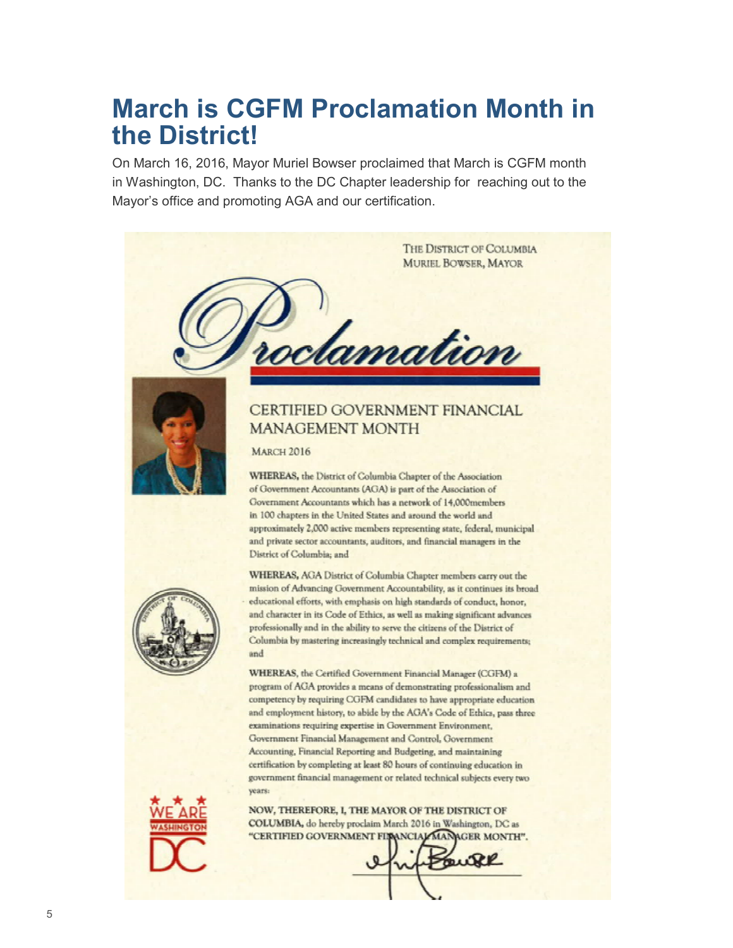#### **March is CGFM Proclamation Month in the District!**

On March 16, 2016, Mayor Muriel Bowser proclaimed that March is CGFM month in Washington, DC. Thanks to the DC Chapter leadership for reaching out to the Mayor's office and promoting AGA and our certification.





auke

5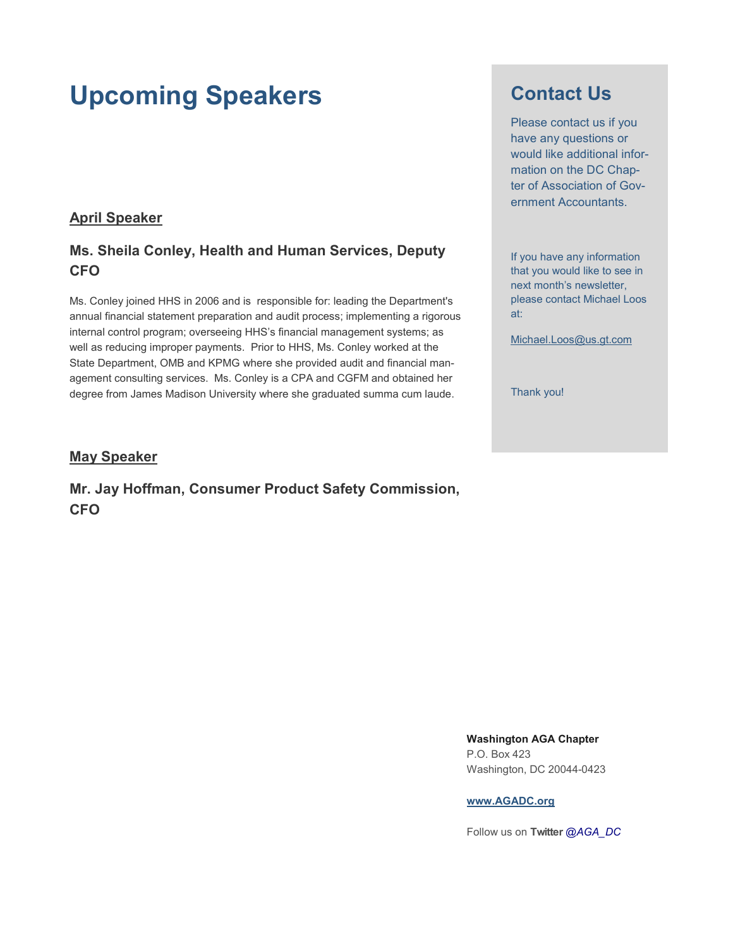#### **Upcoming Speakers**

#### **April Speaker**

#### **Ms. Sheila Conley, Health and Human Services, Deputy CFO**

Ms. Conley joined HHS in 2006 and is responsible for: leading the Department's annual financial statement preparation and audit process; implementing a rigorous internal control program; overseeing HHS's financial management systems; as well as reducing improper payments. Prior to HHS, Ms. Conley worked at the State Department, OMB and KPMG where she provided audit and financial management consulting services. Ms. Conley is a CPA and CGFM and obtained her degree from James Madison University where she graduated summa cum laude.

#### **May Speaker**

**Mr. Jay Hoffman, Consumer Product Safety Commission, CFO**

#### **Contact Us**

Please contact us if you have any questions or would like additional information on the DC Chapter of Association of Government Accountants.

If you have any information that you would like to see in next month's newsletter, please contact Michael Loos at:

[Michael.Loos@us.gt.com](mailto:Michael.Loos@us.gt.com)

Thank you!

**Washington AGA Chapter**  P.O. Box 423 Washington, DC 20044-0423

#### **[www.AGADC.org](http://www.AGADC.org)**

Follow us on **Twitter** *@AGA\_DC*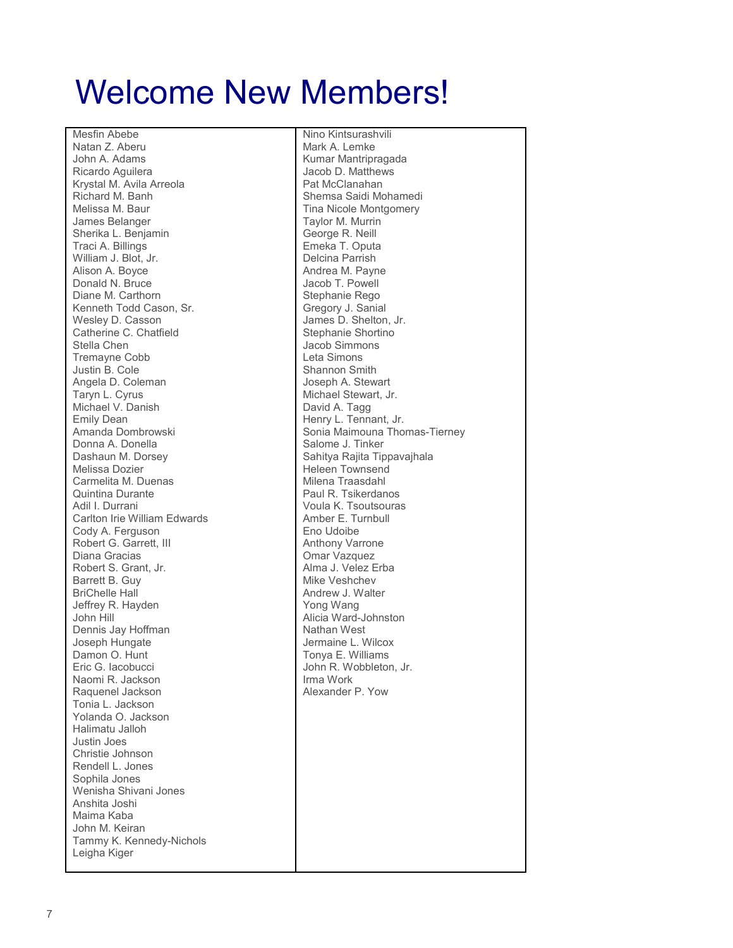## Welcome New Members!

Mesfin Abebe Natan Z. Aberu John A. Adams Ricardo Aguilera Krystal M. Avila Arreola Richard M. Banh Melissa M. Baur James Belanger Sherika L. Benjamin Traci A. Billings William J. Blot, Jr. Alison A. Boyce Donald N. Bruce Diane M. Carthorn Kenneth Todd Cason, Sr. Wesley D. Casson Catherine C. Chatfield Stella Chen Tremayne Cobb Justin B. Cole Angela D. Coleman Taryn L. Cyrus Michael V. Danish Emily Dean Amanda Dombrowski Donna A. Donella Dashaun M. Dorsey Melissa Dozier Carmelita M. Duenas Quintina Durante Adil I. Durrani Carlton Irie William Edwards Cody A. Ferguson Robert G. Garrett, III Diana Gracias Robert S. Grant, Jr. Barrett B. Guy BriChelle Hall Jeffrey R. Hayden John Hill Dennis Jay Hoffman Joseph Hungate Damon O. Hunt Eric G. Iacobucci Naomi R. Jackson Raquenel Jackson Tonia L. Jackson Yolanda O. Jackson Halimatu Jalloh Justin Joes Christie Johnson Rendell L. Jones Sophila Jones Wenisha Shivani Jones Anshita Joshi Maima Kaba John M. Keiran Tammy K. Kennedy-Nichols Leigha Kiger

Nino Kintsurashvili Mark A. Lemke Kumar Mantripragada Jacob D. Matthews Pat McClanahan Shemsa Saidi Mohamedi Tina Nicole Montgomery Taylor M. Murrin George R. Neill Emeka T. Oputa Delcina Parrish Andrea M. Payne Jacob T. Powell Stephanie Rego Gregory J. Sanial James D. Shelton, Jr. Stephanie Shortino Jacob Simmons Leta Simons Shannon Smith Joseph A. Stewart Michael Stewart, Jr. David A. Tagg Henry L. Tennant, Jr. Sonia Maimouna Thomas-Tierney Salome J. Tinker Sahitya Rajita Tippavajhala Heleen Townsend Milena Traasdahl Paul R. Tsikerdanos Voula K. Tsoutsouras Amber E. Turnbull Eno Udoibe Anthony Varrone Omar Vazquez Alma J. Velez Erba Mike Veshchev Andrew J. Walter Yong Wang Alicia Ward-Johnston Nathan West Jermaine L. Wilcox Tonya E. Williams John R. Wobbleton, Jr. Irma Work Alexander P. Yow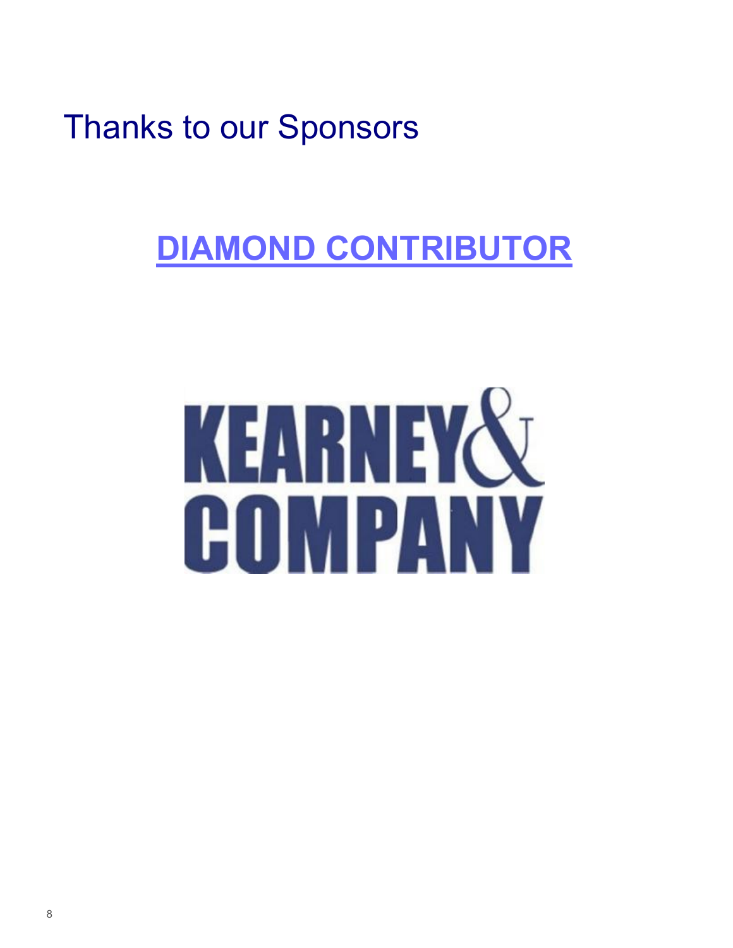## **DIAMOND CONTRIBUTOR**

# KEARNEY& COMPANY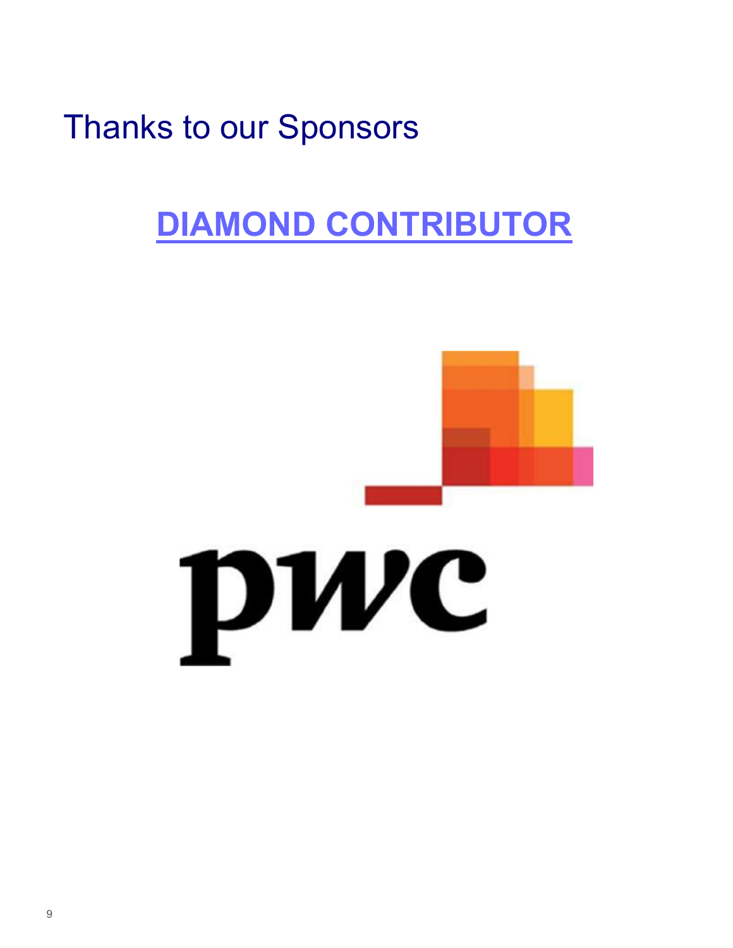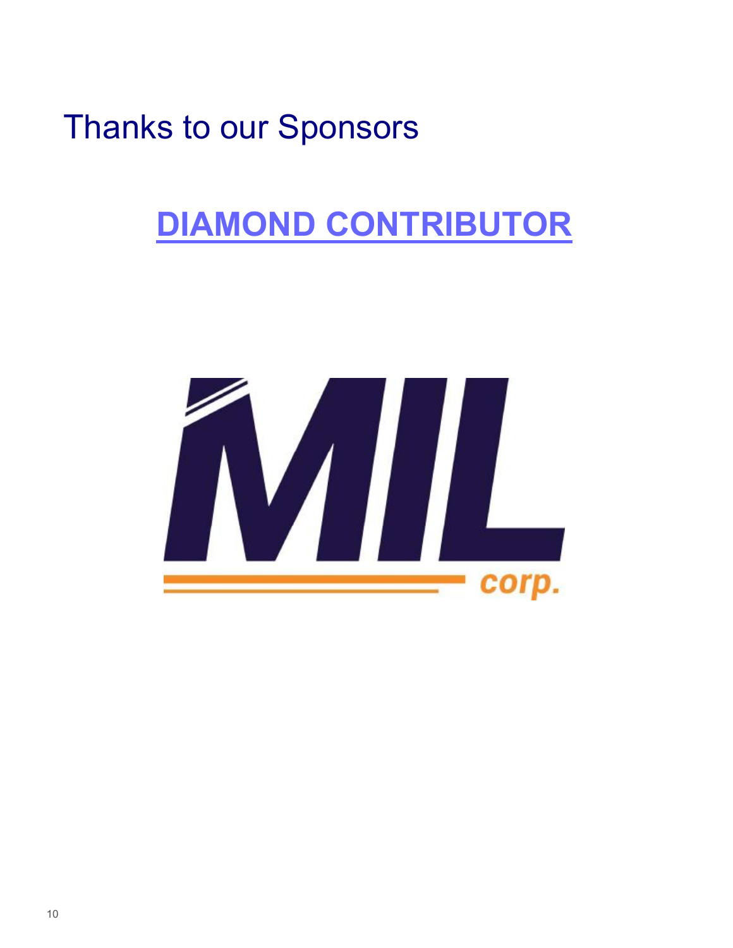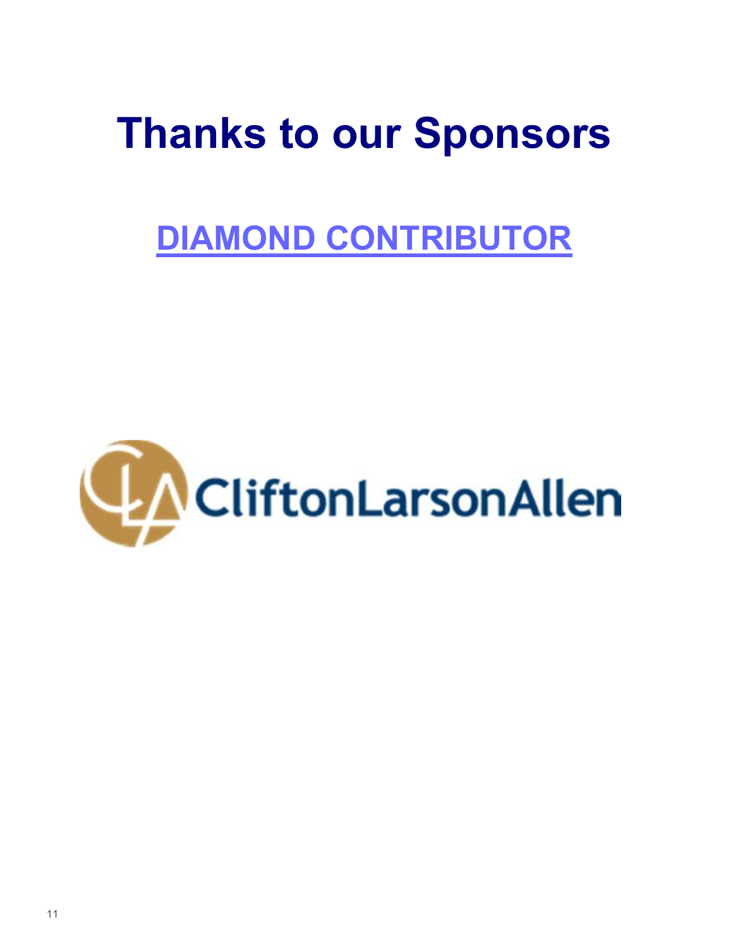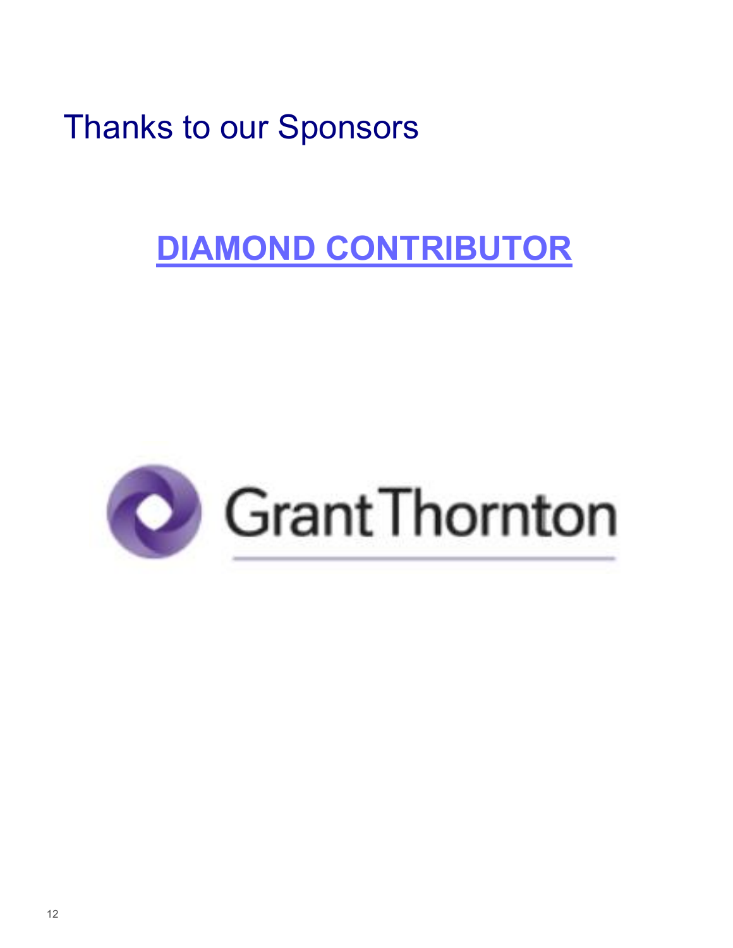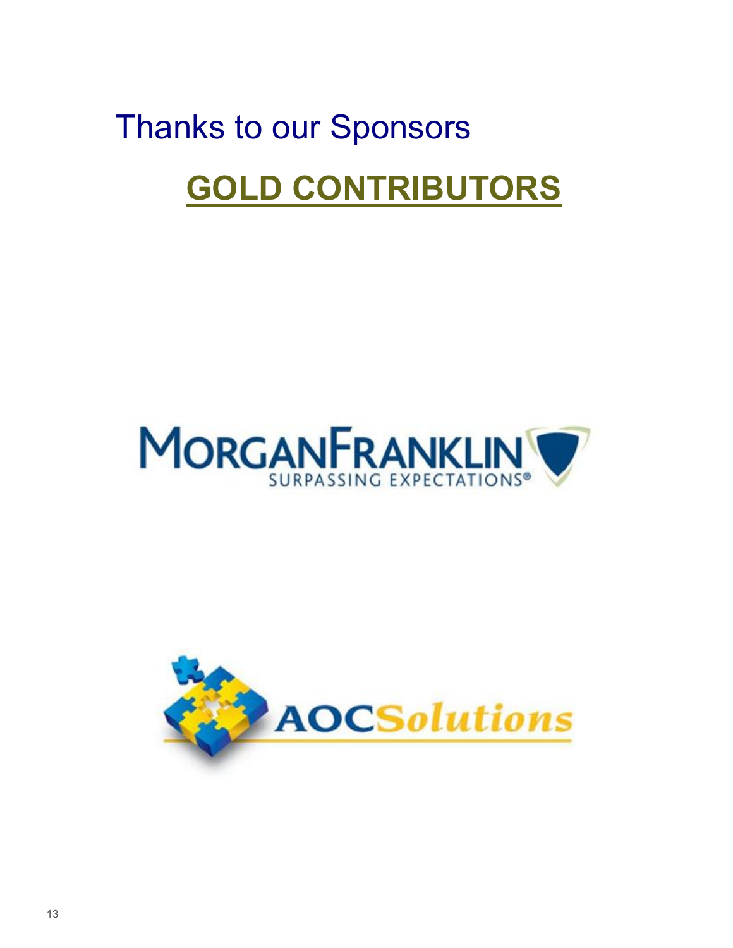# Thanks to our Sponsors **GOLD CONTRIBUTORS**



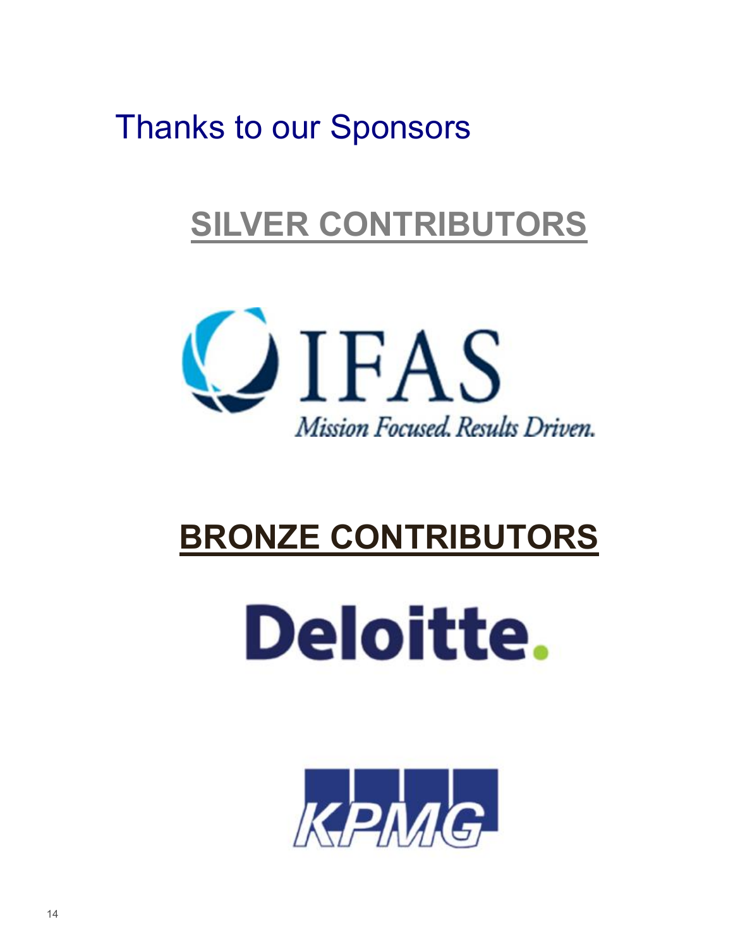## **SILVER CONTRIBUTORS**



## **BRONZE CONTRIBUTORS**